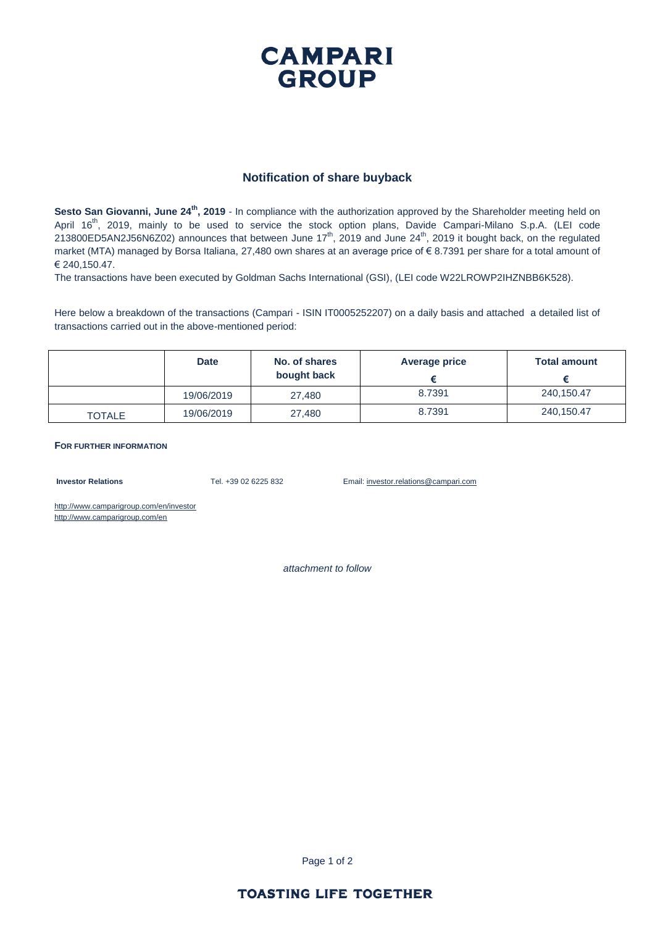## **CAMPARI GROUP**

## **Notification of share buyback**

**Sesto San Giovanni, June 24th, 2019** - In compliance with the authorization approved by the Shareholder meeting held on April 16<sup>th</sup>, 2019, mainly to be used to service the stock option plans, Davide Campari-Milano S.p.A. (LEI code 213800ED5AN2J56N6Z02) announces that between June 17<sup>th</sup>, 2019 and June 24<sup>th</sup>, 2019 it bought back, on the regulated market (MTA) managed by Borsa Italiana, 27,480 own shares at an average price of € 8.7391 per share for a total amount of € 240,150.47.

The transactions have been executed by Goldman Sachs International (GSI), (LEI code W22LROWP2IHZNBB6K528).

Here below a breakdown of the transactions (Campari - ISIN IT0005252207) on a daily basis and attached a detailed list of transactions carried out in the above-mentioned period:

|               | <b>Date</b> | No. of shares<br>bought back | <b>Average price</b> | <b>Total amount</b> |
|---------------|-------------|------------------------------|----------------------|---------------------|
|               | 19/06/2019  | 27,480                       | 8.7391               | 240,150.47          |
| <b>TOTALE</b> | 19/06/2019  | 27,480                       | 8.7391               | 240,150.47          |

**FOR FURTHER INFORMATION**

**Investor Relations** Tel. +39 02 6225 832 Email: investor.relations@campari.com

http://www.camparigroup.com/en/investor http://www.camparigroup.com/en

*attachment to follow*

Page 1 of 2

## **TOASTING LIFE TOGETHER**